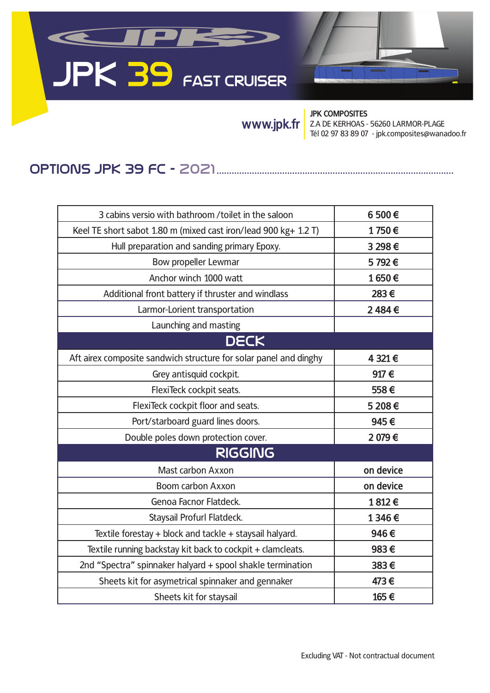## KUPK **JPK 39 FAST CRUISER**

**JPK COMPOSITES** Z.A DE KERHOAS - 56260 LARMOR-PLAGE **WWW.jpk.fr** <br>Tél 02 97 83 89 07 - jpk.composites@wanadoo.fr

## OpTIONS JpK 39 FC - 2021..............................................................................................

| 3 cabins versio with bathroom /toilet in the saloon               | 6 500€    |  |
|-------------------------------------------------------------------|-----------|--|
| Keel TE short sabot 1.80 m (mixed cast iron/lead 900 kg+ 1.2 T)   | 1750€     |  |
| Hull preparation and sanding primary Epoxy.                       | 3 298€    |  |
| Bow propeller Lewmar                                              | 5792€     |  |
| Anchor winch 1000 watt                                            | 1650€     |  |
| Additional front battery if thruster and windlass                 | 283€      |  |
| Larmor-Lorient transportation                                     | 2484€     |  |
| Launching and masting                                             |           |  |
| <b>DECK</b>                                                       |           |  |
| Aft airex composite sandwich structure for solar panel and dinghy | 4 321 €   |  |
| Grey antisquid cockpit.                                           | 917€      |  |
| FlexiTeck cockpit seats.                                          | 558€      |  |
| FlexiTeck cockpit floor and seats.                                | 5 208€    |  |
| Port/starboard guard lines doors.                                 | 945€      |  |
| Double poles down protection cover.                               | 2 079€    |  |
| <b>RIGGING</b>                                                    |           |  |
| Mast carbon Axxon                                                 | on device |  |
| Boom carbon Axxon                                                 | on device |  |
| Genoa Facnor Flatdeck.                                            | 1812€     |  |
| Staysail Profurl Flatdeck.                                        | 1 346€    |  |
| Textile forestay + block and tackle + staysail halyard.           | 946€      |  |
| Textile running backstay kit back to cockpit + clamcleats.        | 983€      |  |
| 2nd "Spectra" spinnaker halyard + spool shakle termination        | 383€      |  |
| Sheets kit for asymetrical spinnaker and gennaker                 | 473€      |  |
| Sheets kit for staysail                                           | 165€      |  |